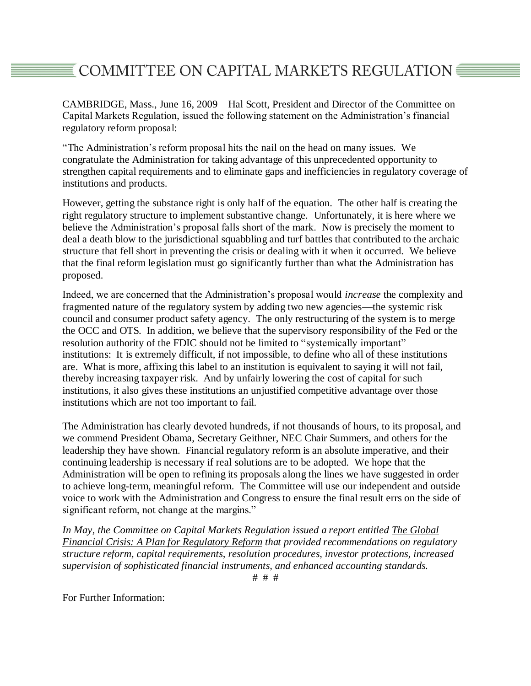## $\overline{\texttt{\$}}$  COMMITTEE ON CAPITAL MARKETS REGULATION  $\overline{\texttt{S}}$

CAMBRIDGE, Mass., June 16, 2009—Hal Scott, President and Director of the Committee on Capital Markets Regulation, issued the following statement on the Administration's financial regulatory reform proposal:

"The Administration's reform proposal hits the nail on the head on many issues. We congratulate the Administration for taking advantage of this unprecedented opportunity to strengthen capital requirements and to eliminate gaps and inefficiencies in regulatory coverage of institutions and products.

However, getting the substance right is only half of the equation. The other half is creating the right regulatory structure to implement substantive change. Unfortunately, it is here where we believe the Administration's proposal falls short of the mark. Now is precisely the moment to deal a death blow to the jurisdictional squabbling and turf battles that contributed to the archaic structure that fell short in preventing the crisis or dealing with it when it occurred. We believe that the final reform legislation must go significantly further than what the Administration has proposed.

Indeed, we are concerned that the Administration's proposal would *increase* the complexity and fragmented nature of the regulatory system by adding two new agencies—the systemic risk council and consumer product safety agency. The only restructuring of the system is to merge the OCC and OTS. In addition, we believe that the supervisory responsibility of the Fed or the resolution authority of the FDIC should not be limited to "systemically important" institutions: It is extremely difficult, if not impossible, to define who all of these institutions are. What is more, affixing this label to an institution is equivalent to saying it will not fail, thereby increasing taxpayer risk. And by unfairly lowering the cost of capital for such institutions, it also gives these institutions an unjustified competitive advantage over those institutions which are not too important to fail.

The Administration has clearly devoted hundreds, if not thousands of hours, to its proposal, and we commend President Obama, Secretary Geithner, NEC Chair Summers, and others for the leadership they have shown. Financial regulatory reform is an absolute imperative, and their continuing leadership is necessary if real solutions are to be adopted. We hope that the Administration will be open to refining its proposals along the lines we have suggested in order to achieve long-term, meaningful reform. The Committee will use our independent and outside voice to work with the Administration and Congress to ensure the final result errs on the side of significant reform, not change at the margins."

*In May, the Committee on Capital Markets Regulation issued a report entitled The Global Financial Crisis: A Plan for Regulatory Reform that provided recommendations on regulatory structure reform, capital requirements, resolution procedures, investor protections, increased supervision of sophisticated financial instruments, and enhanced accounting standards.*

# # #

For Further Information: